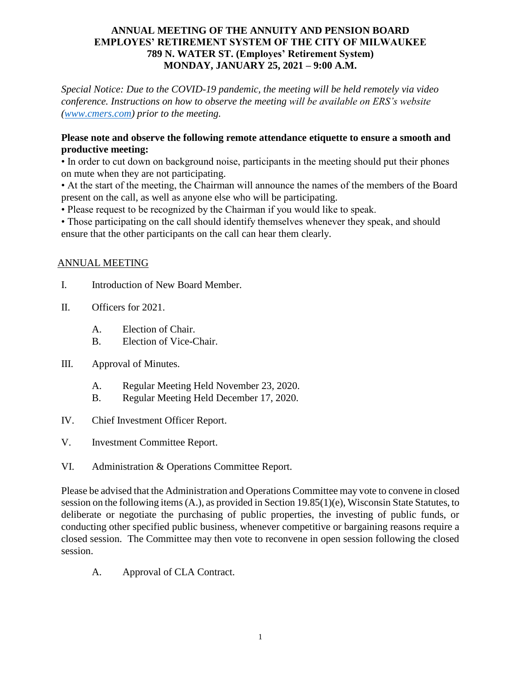#### **ANNUAL MEETING OF THE ANNUITY AND PENSION BOARD EMPLOYES' RETIREMENT SYSTEM OF THE CITY OF MILWAUKEE 789 N. WATER ST. (Employes' Retirement System) MONDAY, JANUARY 25, 2021 – 9:00 A.M.**

*Special Notice: Due to the COVID-19 pandemic, the meeting will be held remotely via video conference. Instructions on how to observe the meeting will be available on ERS's website [\(www.cmers.com\)](http://www.cmers.com/) prior to the meeting.*

### **Please note and observe the following remote attendance etiquette to ensure a smooth and productive meeting:**

• In order to cut down on background noise, participants in the meeting should put their phones on mute when they are not participating.

• At the start of the meeting, the Chairman will announce the names of the members of the Board present on the call, as well as anyone else who will be participating.

• Please request to be recognized by the Chairman if you would like to speak.

• Those participating on the call should identify themselves whenever they speak, and should ensure that the other participants on the call can hear them clearly.

### ANNUAL MEETING

- I. Introduction of New Board Member.
- II. Officers for 2021.
	- A. Election of Chair.
	- B. Election of Vice-Chair.
- III. Approval of Minutes.
	- A. Regular Meeting Held November 23, 2020.
	- B. Regular Meeting Held December 17, 2020.
- IV. Chief Investment Officer Report.
- V. Investment Committee Report.
- VI. Administration & Operations Committee Report.

Please be advised that the Administration and Operations Committee may vote to convene in closed session on the following items (A.), as provided in Section 19.85(1)(e), Wisconsin State Statutes, to deliberate or negotiate the purchasing of public properties, the investing of public funds, or conducting other specified public business, whenever competitive or bargaining reasons require a closed session. The Committee may then vote to reconvene in open session following the closed session.

A. Approval of CLA Contract.